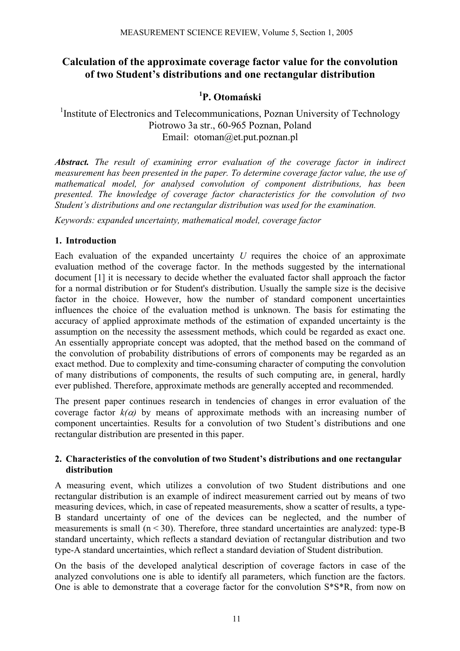# **Calculation of the approximate coverage factor value for the convolution of two Student's distributions and one rectangular distribution**

# **1 P. Otomański**

<sup>1</sup>Institute of Electronics and Telecommunications, Poznan University of Technology Piotrowo 3a str., 60-965 Poznan, Poland Email: otoman@et.put.poznan.pl

*Abstract. The result of examining error evaluation of the coverage factor in indirect measurement has been presented in the paper. To determine coverage factor value, the use of mathematical model, for analysed convolution of component distributions, has been presented. The knowledge of coverage factor characteristics for the convolution of two Student's distributions and one rectangular distribution was used for the examination.* 

*Keywords: expanded uncertainty, mathematical model, coverage factor* 

## **1. Introduction**

Each evaluation of the expanded uncertainty *U* requires the choice of an approximate evaluation method of the coverage factor. In the methods suggested by the international document [1] it is necessary to decide whether the evaluated factor shall approach the factor for a normal distribution or for Student's distribution. Usually the sample size is the decisive factor in the choice. However, how the number of standard component uncertainties influences the choice of the evaluation method is unknown. The basis for estimating the accuracy of applied approximate methods of the estimation of expanded uncertainty is the assumption on the necessity the assessment methods, which could be regarded as exact one. An essentially appropriate concept was adopted, that the method based on the command of the convolution of probability distributions of errors of components may be regarded as an exact method. Due to complexity and time-consuming character of computing the convolution of many distributions of components, the results of such computing are, in general, hardly ever published. Therefore, approximate methods are generally accepted and recommended.

The present paper continues research in tendencies of changes in error evaluation of the coverage factor  $k(\alpha)$  by means of approximate methods with an increasing number of component uncertainties. Results for a convolution of two Student's distributions and one rectangular distribution are presented in this paper.

# **2. Characteristics of the convolution of two Student's distributions and one rectangular distribution**

A measuring event, which utilizes a convolution of two Student distributions and one rectangular distribution is an example of indirect measurement carried out by means of two measuring devices, which, in case of repeated measurements, show a scatter of results, a type-B standard uncertainty of one of the devices can be neglected, and the number of measurements is small  $(n < 30)$ . Therefore, three standard uncertainties are analyzed: type-B standard uncertainty, which reflects a standard deviation of rectangular distribution and two type-A standard uncertainties, which reflect a standard deviation of Student distribution.

On the basis of the developed analytical description of coverage factors in case of the analyzed convolutions one is able to identify all parameters, which function are the factors. One is able to demonstrate that a coverage factor for the convolution S\*S\*R, from now on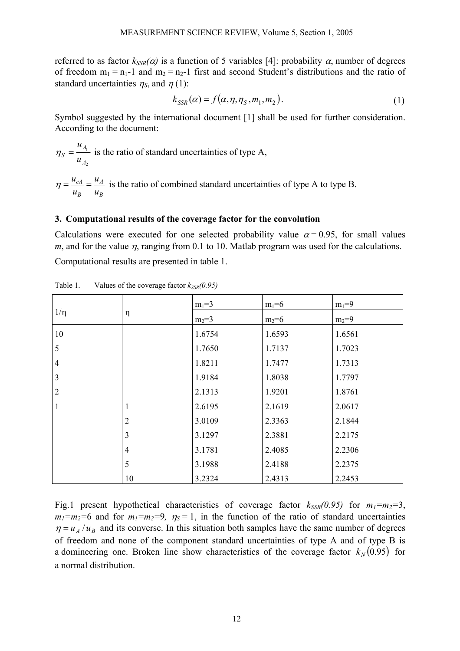referred to as factor  $k_{SSR}(\alpha)$  is a function of 5 variables [4]: probability  $\alpha$ , number of degrees of freedom  $m_1 = n_1-1$  and  $m_2 = n_2-1$  first and second Student's distributions and the ratio of standard uncertainties  $\eta_s$ , and  $\eta$  (1):

$$
k_{SSR}(\alpha) = f(\alpha, \eta, \eta_S, m_1, m_2). \tag{1}
$$

Symbol suggested by the international document [1] shall be used for further consideration. According to the document:

2 1 *A A*  $s - \frac{u}{u}$ *u*  $\eta_s = \frac{A_1}{A_2}$  is the ratio of standard uncertainties of type A,

*B A B cA u u u*  $\eta = \frac{u_{cA}}{u_{cA}} = \frac{u_A}{u}$  is the ratio of combined standard uncertainties of type A to type B.

#### **3. Computational results of the coverage factor for the convolution**

Calculations were executed for one selected probability value  $\alpha$  = 0.95, for small values *m*, and for the value  $\eta$ , ranging from 0.1 to 10. Matlab program was used for the calculations. Computational results are presented in table 1.

 $m_1=3$   $m_1=6$   $m_1=9$  $1/\eta$   $\eta$  $m_2=3$   $m_2=6$   $m_2=9$ 10 5 4 3 2 1 1 2 3 4 5 10 1.6754 1.7650 1.8211 1.9184 2.1313 2.6195 3.0109 3.1297 3.1781 3.1988 3.2324 1.6593 1.7137 1.7477 1.8038 1.9201 2.1619 2.3363 2.3881 2.4085 2.4188 2.4313 1.6561 1.7023 1.7313 1.7797 1.8761 2.0617 2.1844 2.2175 2.2306 2.2375 2.2453

Table 1. Values of the coverage factor  $k_{SSR}(0.95)$ 

Fig.1 present hypothetical characteristics of coverage factor  $k_{SSR}(0.95)$  for  $m_1=m_2=3$ ,  $m_1=m_2=6$  and for  $m_1=m_2=9$ ,  $n_S=1$ , in the function of the ratio of standard uncertainties  $\eta = u_A/u_B$  and its converse. In this situation both samples have the same number of degrees of freedom and none of the component standard uncertainties of type A and of type B is a domineering one. Broken line show characteristics of the coverage factor  $k_N(0.95)$  for a normal distribution.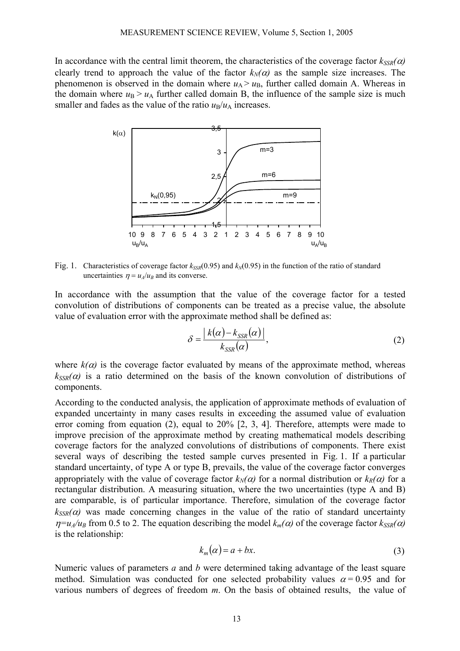In accordance with the central limit theorem, the characteristics of the coverage factor  $k_{SSR}(\alpha)$ clearly trend to approach the value of the factor  $k_N(\alpha)$  as the sample size increases. The phenomenon is observed in the domain where  $u_A > u_B$ , further called domain A. Whereas in the domain where  $u_B > u_A$  further called domain B, the influence of the sample size is much smaller and fades as the value of the ratio  $u_B/u_A$  increases.



Fig. 1. Characteristics of coverage factor  $k_{SSR}(0.95)$  and  $k_{M}(0.95)$  in the function of the ratio of standard uncertainties  $\eta = u_A/u_B$  and its converse.

In accordance with the assumption that the value of the coverage factor for a tested convolution of distributions of components can be treated as a precise value, the absolute value of evaluation error with the approximate method shall be defined as:

$$
\delta = \frac{\left| k(\alpha) - k_{SSR}(\alpha) \right|}{k_{SSR}(\alpha)},\tag{2}
$$

where  $k(\alpha)$  is the coverage factor evaluated by means of the approximate method, whereas  $k_{SSR}(\alpha)$  is a ratio determined on the basis of the known convolution of distributions of components.

According to the conducted analysis, the application of approximate methods of evaluation of expanded uncertainty in many cases results in exceeding the assumed value of evaluation error coming from equation (2), equal to 20% [2, 3, 4]. Therefore, attempts were made to improve precision of the approximate method by creating mathematical models describing coverage factors for the analyzed convolutions of distributions of components. There exist several ways of describing the tested sample curves presented in Fig. 1. If a particular standard uncertainty, of type A or type B, prevails, the value of the coverage factor converges appropriately with the value of coverage factor  $k_N(\alpha)$  for a normal distribution or  $k_R(\alpha)$  for a rectangular distribution. A measuring situation, where the two uncertainties (type A and B) are comparable, is of particular importance. Therefore, simulation of the coverage factor  $k_{SSR}(\alpha)$  was made concerning changes in the value of the ratio of standard uncertainty  $\eta = u_A/u_B$  from 0.5 to 2. The equation describing the model  $k_m(\alpha)$  of the coverage factor  $k_{SSR}(\alpha)$ is the relationship:

$$
k_m(\alpha) = a + bx. \tag{3}
$$

Numeric values of parameters *a* and *b* were determined taking advantage of the least square method. Simulation was conducted for one selected probability values  $\alpha = 0.95$  and for various numbers of degrees of freedom *m*. On the basis of obtained results, the value of